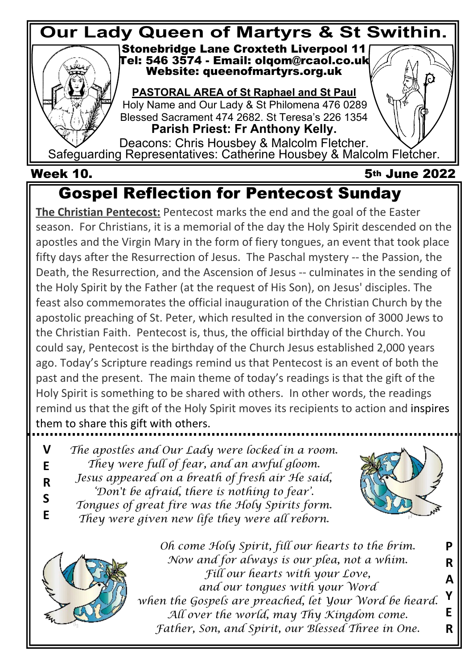

 **Week 10. 5th June 2022**

# **Gospel Reflection for Pentecost Sunday**

**The Christian Pentecost:** Pentecost marks the end and the goal of the Easter season. For Christians, it is a memorial of the day the Holy Spirit descended on the apostles and the Virgin Mary in the form of fiery tongues, an event that took place fifty days after the Resurrection of Jesus. The Paschal mystery -- the Passion, the Death, the Resurrection, and the Ascension of Jesus -- culminates in the sending of the Holy Spirit by the Father (at the request of His Son), on Jesus' disciples. The feast also commemorates the official inauguration of the Christian Church by the apostolic preaching of St. Peter, which resulted in the conversion of 3000 Jews to the Christian Faith. Pentecost is, thus, the official birthday of the Church. You could say, Pentecost is the birthday of the Church Jesus established 2,000 years ago. Today's Scripture readings remind us that Pentecost is an event of both the past and the present. The main theme of today's readings is that the gift of the Holy Spirit is something to be shared with others. In other words, the readings remind us that the gift of the Holy Spirit moves its recipients to action and inspires them to share this gift with others.

*The apostles and Our Lady were locked in a room. They were full of fear, and an awful gloom. Jesus appeared on a breath of fresh air He said, 'Don't be afraid, there is nothing to fear'. Tongues of great fire was the Holy Spirits form.* **V E R S**

*They were given new life they were all reborn.* **E**





*Oh come Holy Spirit, fill our hearts to the brim. Now and for always is our plea, not a whim. Fill our hearts with your Love, and our tongues with your Word when the Gospels are preached, let Your Word be heard. All over the world, may Thy Kingdom come. Father, Son, and Spirit, our Blessed Three in One.* **P R A Y E R**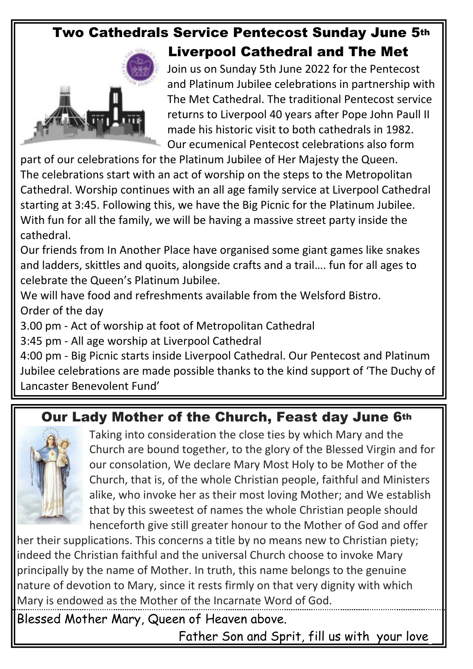# **Two Cathedrals Service Pentecost Sunday June 5th**



**Liverpool Cathedral and The Met**

Join us on Sunday 5th June 2022 for the Pentecost and Platinum Jubilee celebrations in partnership with The Met Cathedral. The traditional Pentecost service returns to Liverpool 40 years after Pope John Paull II made his historic visit to both cathedrals in 1982. Our ecumenical Pentecost celebrations also form

part of our celebrations for the Platinum Jubilee of Her Majesty the Queen. The celebrations start with an act of worship on the steps to the Metropolitan Cathedral. Worship continues with an all age family service at Liverpool Cathedral starting at 3:45. Following this, we have the Big Picnic for the Platinum Jubilee. With fun for all the family, we will be having a massive street party inside the cathedral.

Our friends from In Another Place have organised some giant games like snakes and ladders, skittles and quoits, alongside crafts and a trail…. fun for all ages to celebrate the Queen's Platinum Jubilee.

We will have food and refreshments available from the Welsford Bistro. Order of the day

3.00 pm - Act of worship at foot of Metropolitan Cathedral

3:45 pm - All age worship at Liverpool Cathedral

4:00 pm - Big Picnic starts inside Liverpool Cathedral. Our Pentecost and Platinum Jubilee celebrations are made possible thanks to the kind support of 'The Duchy of Lancaster Benevolent Fund'

# **Our Lady Mother of the Church, Feast day June 6th**



Taking into consideration the close ties by which Mary and the Church are bound together, to the glory of the Blessed Virgin and for our consolation, We declare Mary Most Holy to be Mother of the Church, that is, of the whole Christian people, faithful and Ministers alike, who invoke her as their most loving Mother; and We establish that by this sweetest of names the whole Christian people should henceforth give still greater honour to the Mother of God and offer

her their supplications. This concerns a title by no means new to Christian piety; indeed the Christian faithful and the universal Church choose to invoke Mary principally by the name of Mother. In truth, this name belongs to the genuine nature of devotion to Mary, since it rests firmly on that very dignity with which Mary is endowed as the Mother of the Incarnate Word of God.

Blessed Mother Mary, Queen of Heaven above.

Father Son and Sprit, fill us with your love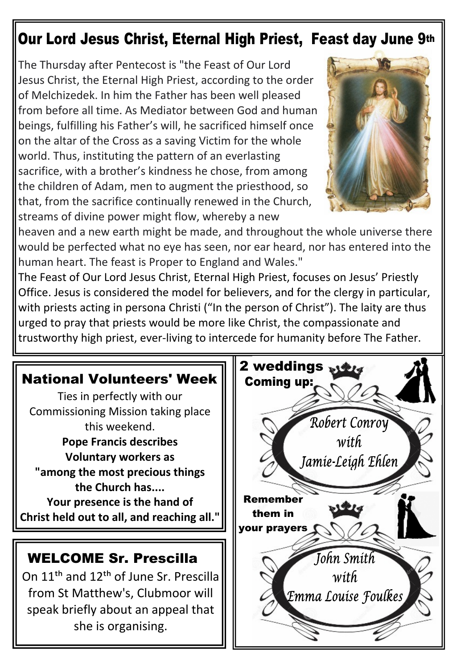# **Our Lord Jesus Christ, Eternal High Priest, Feast day June 9th**

The Thursday after Pentecost is "the Feast of Our Lord Jesus Christ, the Eternal High Priest, according to the order of Melchizedek. In him the Father has been well pleased from before all time. As Mediator between God and human beings, fulfilling his Father's will, he sacrificed himself once on the altar of the Cross as a saving Victim for the whole world. Thus, instituting the pattern of an everlasting sacrifice, with a brother's kindness he chose, from among the children of Adam, men to augment the priesthood, so that, from the sacrifice continually renewed in the Church, streams of divine power might flow, whereby a new



heaven and a new earth might be made, and throughout the whole universe there would be perfected what no eye has seen, nor ear heard, nor has entered into the human heart. The feast is Proper to England and Wales."

The Feast of Our Lord Jesus Christ, Eternal High Priest, focuses on Jesus' Priestly Office. Jesus is considered the model for believers, and for the clergy in particular, with priests acting in persona Christi ("In the person of Christ"). The laity are thus urged to pray that priests would be more like Christ, the compassionate and trustworthy high priest, ever-living to intercede for humanity before The Father.

#### **National Volunteers' Week**

Ties in perfectly with our Commissioning Mission taking place this weekend. **Pope Francis describes**

**Voluntary workers as "among the most precious things the Church has....**

**Your presence is the hand of Christ held out to all, and reaching all."**

### **WELCOME Sr. Prescilla**

On 11th and 12th of June Sr. Prescilla from St Matthew's, Clubmoor will speak briefly about an appeal that she is organising.